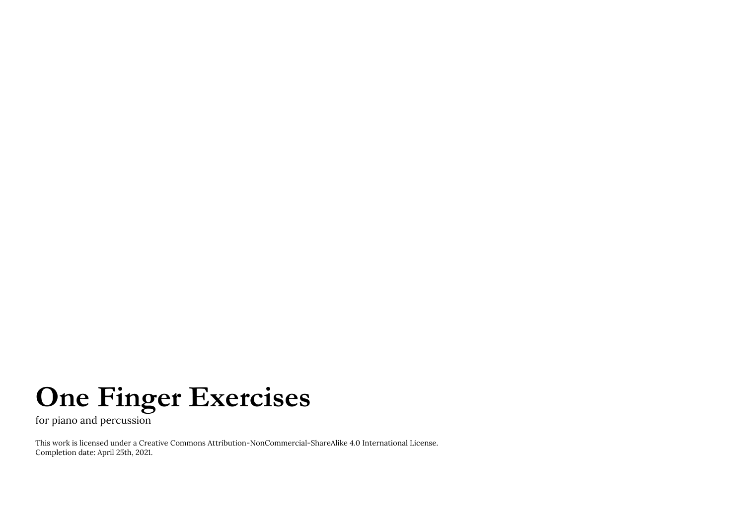## **One Finger Exercises**

for piano and percussion

This work is licensed under a Creative Commons Attribution-NonCommercial-ShareAlike 4.0 International License. Completion date: April 25th, 2021.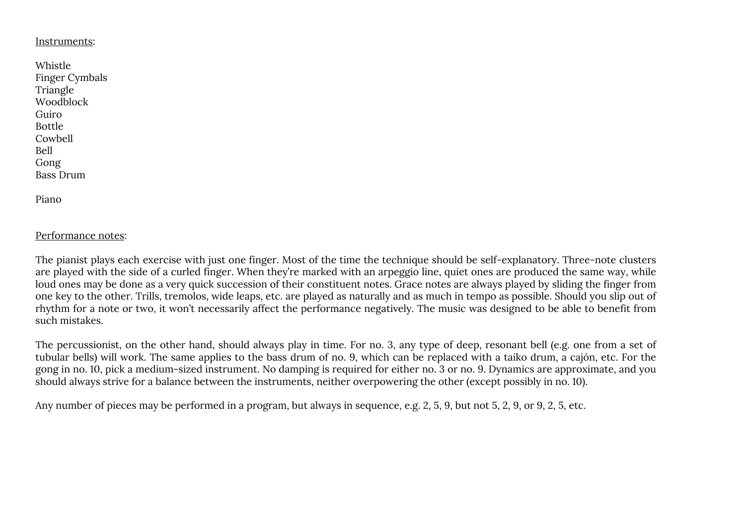## Instruments:

| Whistle          |
|------------------|
| Finger Cymbals   |
| Triangle         |
| Woodblock        |
| Guiro            |
| <b>Bottle</b>    |
| Cowbell          |
| Bell             |
| Gong             |
| <b>Bass Drum</b> |
|                  |

Piano

## Performance notes:

The pianist plays each exercise with just one finger. Most of the time the technique should be self-explanatory. Three-note clusters are played with the side of a curled finger. When they're marked with an arpeggio line, quiet ones are produced the same way, while loud ones may be done as a very quick succession of their constituent notes. Grace notes are always played by sliding the finger from one key to the other. Trills, tremolos, wide leaps, etc. are played as naturally and as much in tempo as possible. Should you slip out of rhythm for a note or two, it won't necessarily affect the performance negatively. The music was designed to be able to benefit from such mistakes.

The percussionist, on the other hand, should always play in time. For no. 3, any type of deep, resonant bell (e.g. one from a set of tubular bells) will work. The same applies to the bass drum of no. 9, which can be replaced with a taiko drum, a cajón, etc. For the gong in no. 10, pick a medium-sized instrument. No damping is required for either no. 3 or no. 9. Dynamics are approximate, and you should always strive for a balance between the instruments, neither overpowering the other (except possibly in no. 10).

Any number of pieces may be performed in a program, but always in sequence, e.g. 2, 5, 9, but not 5, 2, 9, or 9, 2, 5, etc.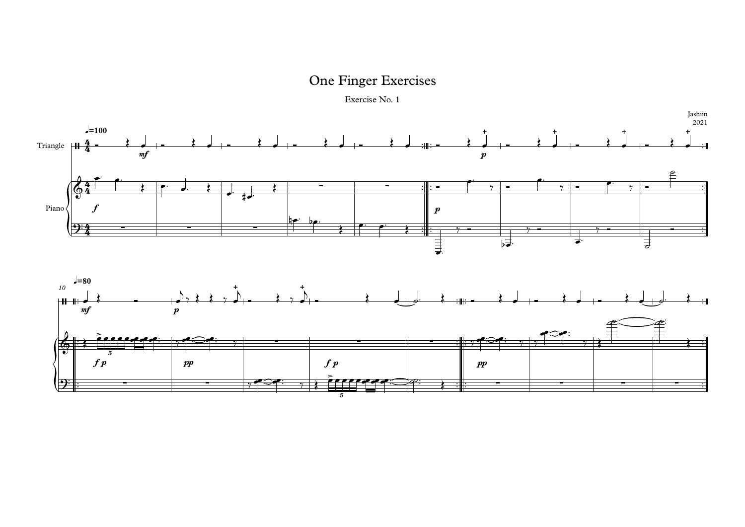Exercise No. 1

## One Finger Exercises

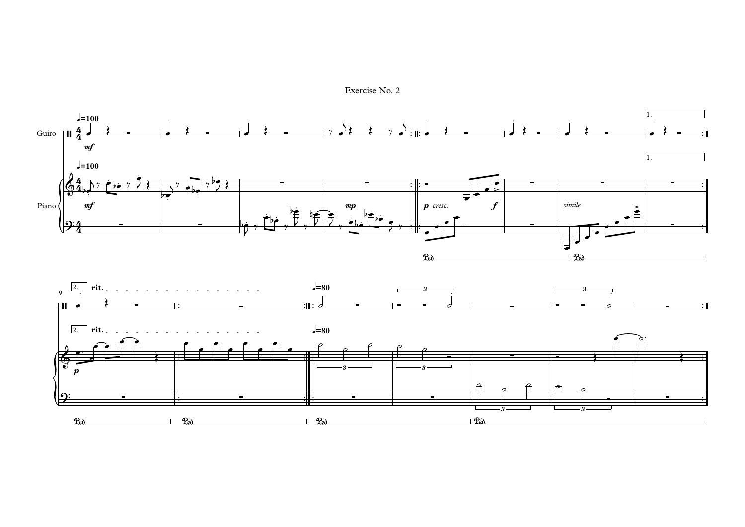Exercise No. 2

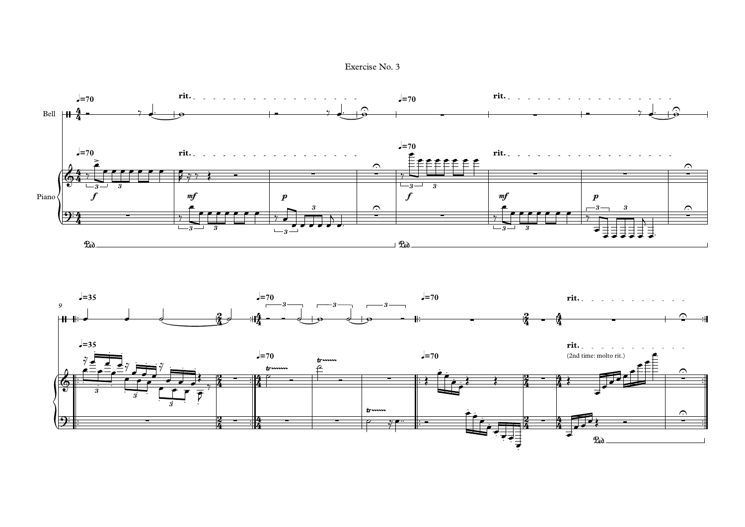Exercise No. 3

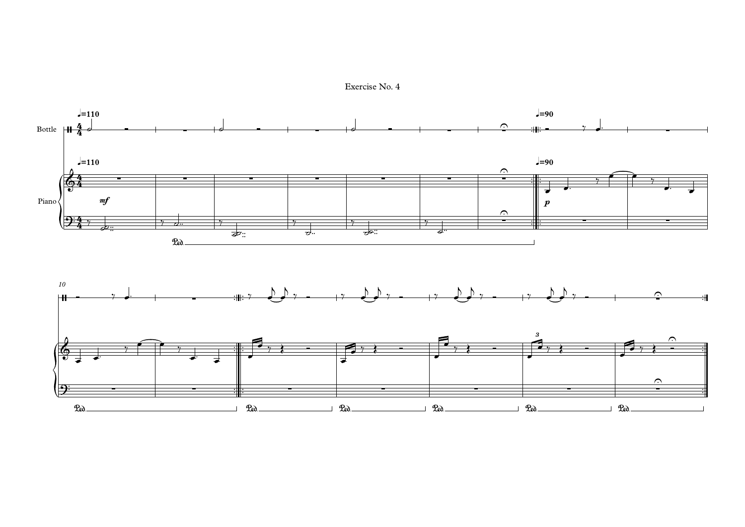Exercise No. 4

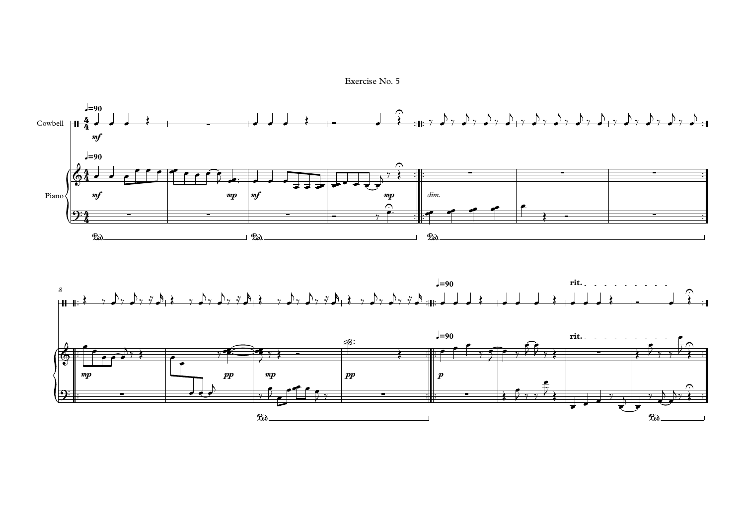Exercise No. 5

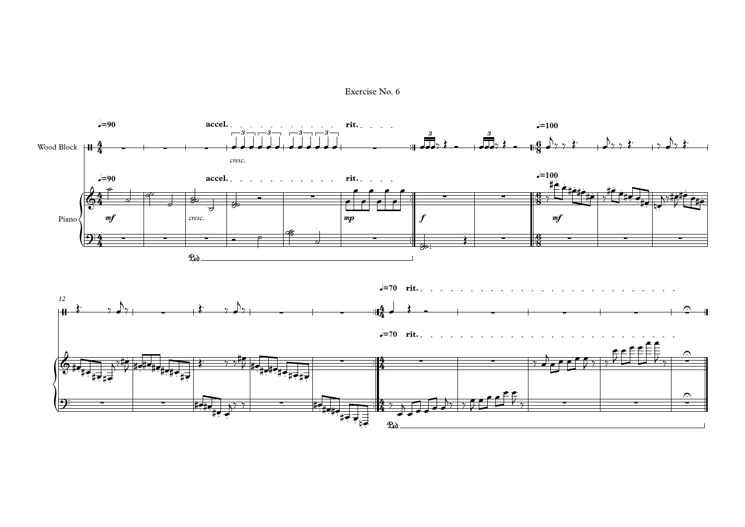Exercise No. 6

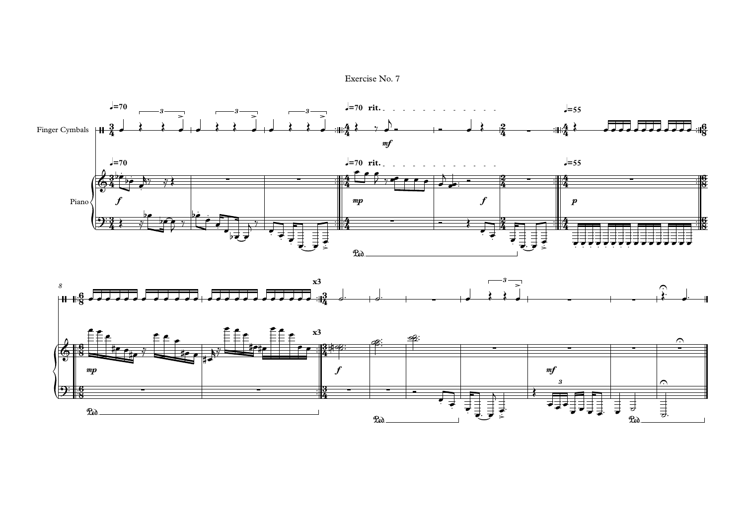

Exercise No. 7

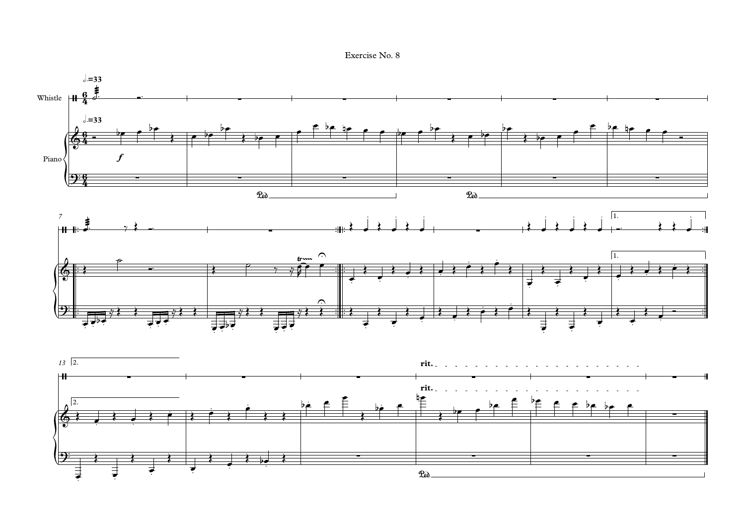

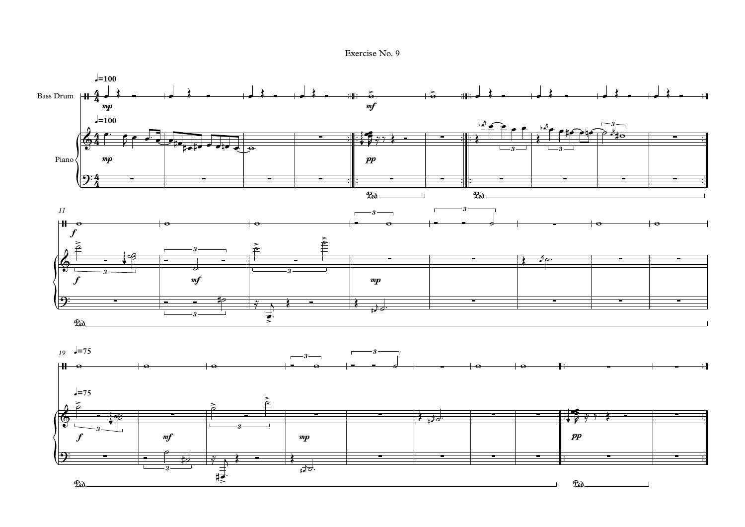